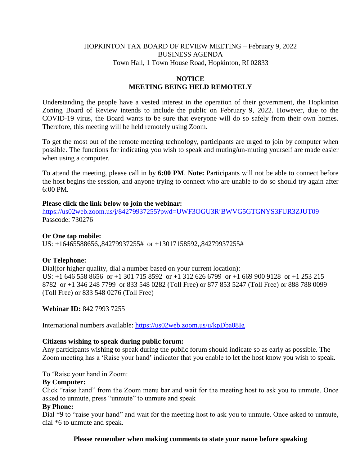## HOPKINTON TAX BOARD OF REVIEW MEETING – February 9, 2022 BUSINESS AGENDA Town Hall, 1 Town House Road, Hopkinton, RI 02833

# **NOTICE MEETING BEING HELD REMOTELY**

Understanding the people have a vested interest in the operation of their government, the Hopkinton Zoning Board of Review intends to include the public on February 9, 2022. However, due to the COVID-19 virus, the Board wants to be sure that everyone will do so safely from their own homes. Therefore, this meeting will be held remotely using Zoom.

To get the most out of the remote meeting technology, participants are urged to join by computer when possible. The functions for indicating you wish to speak and muting/un-muting yourself are made easier when using a computer.

To attend the meeting, please call in by **6:00 PM**. **Note:** Participants will not be able to connect before the host begins the session, and anyone trying to connect who are unable to do so should try again after 6:00 PM.

#### **Please click the link below to join the webinar:**

<https://us02web.zoom.us/j/84279937255?pwd=UWF3OGU3RjBWVG5GTGNYS3FUR3ZJUT09> Passcode: 730276

### **Or One tap mobile:**

US: +16465588656,,84279937255# or +13017158592,,84279937255#

### **Or Telephone:**

Dial(for higher quality, dial a number based on your current location): US: +1 646 558 8656 or +1 301 715 8592 or +1 312 626 6799 or +1 669 900 9128 or +1 253 215 8782 or +1 346 248 7799 or 833 548 0282 (Toll Free) or 877 853 5247 (Toll Free) or 888 788 0099 (Toll Free) or 833 548 0276 (Toll Free)

**Webinar ID:** 842 7993 7255

International numbers available:<https://us02web.zoom.us/u/kpDba08Ig>

### **Citizens wishing to speak during public forum:**

Any participants wishing to speak during the public forum should indicate so as early as possible. The Zoom meeting has a 'Raise your hand' indicator that you enable to let the host know you wish to speak.

To 'Raise your hand in Zoom:

### **By Computer:**

Click "raise hand" from the Zoom menu bar and wait for the meeting host to ask you to unmute. Once asked to unmute, press "unmute" to unmute and speak

#### **By Phone:**

Dial \*9 to "raise your hand" and wait for the meeting host to ask you to unmute. Once asked to unmute, dial \*6 to unmute and speak.

**Please remember when making comments to state your name before speaking**